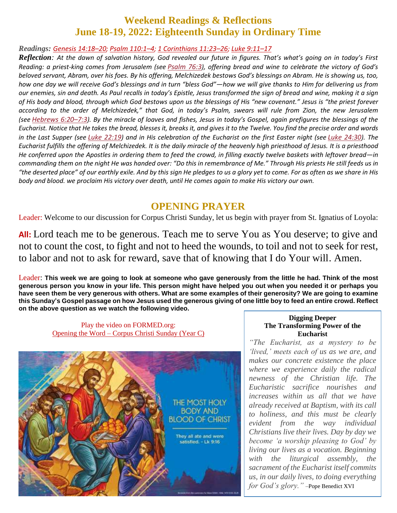### **Weekend Readings & Reflections June 18-19, 2022: Eighteenth Sunday in Ordinary Time**

Readings: [Genesis](https://biblia.com/bible/rsvce/Gen%2014.18%E2%80%9320) 14:18-20; [Psalm](https://biblia.com/bible/rsvce/Ps%20110.1%E2%80%934) 110:1-4; 1 [Corinthians](https://biblia.com/bible/rsvce/1%20Cor%2011.23%E2%80%9326) 11:23-26; [Luke](https://biblia.com/bible/rsvce/Luke%209.11%E2%80%9317) 9:11-17

*Reflection: At the dawn of salvation history, God revealed our future in figures. That's what's going on in today's First Reading: a priest-king comes from Jerusalem (see [Psalm](https://biblia.com/bible/rsvce/Ps%2076.3) 76:3), offering bread and wine to celebrate the victory of God's beloved servant, Abram, over his foes. By his offering, Melchizedek bestows God's blessings on Abram. He is showing us, too, how one day we will receive God's blessings and in turn "bless God"—how we will give thanks to Him for delivering us from our enemies, sin and death. As Paul recalls in today's Epistle, Jesus transformed the sign of bread and wine, making it a sign of His body and blood, through which God bestows upon us the blessings of His "new covenant." Jesus is "the priest forever according to the order of Melchizedek," that God, in today's Psalm, swears will rule from Zion, the new Jerusalem (see [Hebrews](https://biblia.com/bible/rsvce/Heb%206.20%E2%80%937.3) 6:20–7:3). By the miracle of loaves and fishes, Jesus in today's Gospel, again prefigures the blessings of the Eucharist. Notice that He takes the bread, blesses it, breaks it, and gives it to the Twelve. You find the precise order and words in the Last Supper (see Luke [22:19](https://biblia.com/bible/rsvce/Luke%2022.19)) and in His celebration of the Eucharist on the first Easter night (see Luke [24:30](https://biblia.com/bible/rsvce/Luke%2024.30)). The Eucharist fulfills the offering of Melchizedek. It is the daily miracle of the heavenly high priesthood of Jesus. It is a priesthood He conferred upon the Apostles in ordering them to feed the crowd, in filling exactly twelve baskets with leftover bread—in commanding them on the night He was handed over: "Do this in remembrance of Me." Through His priests He still feeds us in "the deserted place" of our earthly exile. And by this sign He pledges to us a glory yet to come. For as often as we share in His body and blood. we proclaim His victory over death, until He comes again to make His victory our own.*

#### **OPENING PRAYER**

Leader: Welcome to our discussion for Corpus Christi Sunday, let us begin with prayer from St. Ignatius of Loyola:

**All:** Lord teach me to be generous. Teach me to serve You as You deserve; to give and not to count the cost, to fight and not to heed the wounds, to toil and not to seek for rest, to labor and not to ask for reward, save that of knowing that I do Your will. Amen.

Leader: **This week we are going to look at someone who gave generously from the little he had. Think of the most generous person you know in your life. This person might have helped you out when you needed it or perhaps you have seen them be very generous with others. What are some examples of their generosity? We are going to examine this Sunday's Gospel passage on how Jesus used the generous giving of one little boy to feed an entire crowd. Reflect on the above question as we watch the following video.**

Play the video on FORMED.org: [Opening the Word –](https://watch.formed.org/opening-the-word-1/season:3/videos/the-most-holy-body-and-blood-of-christ-corpus-christi-sunday-june-23-2019) Corpus Christi Sunday (Year C)



#### **Digging Deeper The Transforming Power of the Eucharist**

*"The Eucharist, as a mystery to be 'lived,' meets each of us as we are, and makes our concrete existence the place where we experience daily the radical newness of the Christian life. The Eucharistic sacrifice nourishes and increases within us all that we have already received at Baptism, with its call to holiness, and this must be clearly evident from the way individual Christians live their lives. Day by day we become 'a worship pleasing to God' by living our lives as a vocation. Beginning with the liturgical assembly, the sacrament of the Eucharist itself commits us, in our daily lives, to doing everything for God's glory."* –Pope Benedict XVI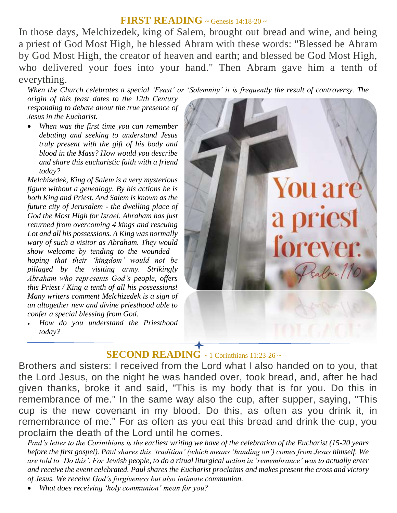#### **FIRST READING** ~ Genesis 14:18-20 ~

In those days, Melchizedek, king of Salem, brought out bread and wine, and being a priest of God Most High, he blessed Abram with these words: "Blessed be Abram by God Most High, the creator of heaven and earth; and blessed be God Most High, who delivered your foes into your hand." Then Abram gave him a tenth of everything.

*When the Church celebrates a special ʻFeast' or ʻSolemnity' it is frequently the result of controversy. The* 

*origin of this feast dates to the 12th Century responding to debate about the true presence of Jesus in the Eucharist.*

 *When was the first time you can remember debating and seeking to understand Jesus truly present with the gift of his body and blood in the Mass? How would you describe and share this eucharistic faith with a friend today?*

*Melchizedek, King of Salem is a very mysterious figure without a genealogy. By his actions he is both King and Priest. And Salem is known as the future city of Jerusalem - the dwelling place of God the Most High for Israel. Abraham has just returned from overcoming 4 kings and rescuing Lot and all his possessions. A King was normally wary of such a visitor as Abraham. They would show welcome by tending to the wounded – hoping that their ʻkingdom' would not be pillaged by the visiting army. Strikingly Abraham who represents God's people, offers this Priest / King a tenth of all his possessions! Many writers comment Melchizedek is a sign of an altogether new and divine priesthood able to confer a special blessing from God.*

 *How do you understand the Priesthood today?*



## **SECOND READING**  $\sim$  1 Corinthians 11:23-26  $\sim$

Brothers and sisters: I received from the Lord what I also handed on to you, that the Lord Jesus, on the night he was handed over, took bread, and, after he had given thanks, broke it and said, "This is my body that is for you. Do this in remembrance of me." In the same way also the cup, after supper, saying, "This cup is the new covenant in my blood. Do this, as often as you drink it, in remembrance of me." For as often as you eat this bread and drink the cup, you proclaim the death of the Lord until he comes.

*Paul's letter to the Corinthians is the earliest writing we have of the celebration of the Eucharist (15-20 years before the first gospel). Paul shares this ʻtradition' (which means ʻhanding on') comes from Jesus himself. We are told to ʻDo this'. For Jewish people, to do a ritual liturgical action in ʻremembrance' was to actually enter and receive the event celebrated. Paul shares the Eucharist proclaims and makes present the cross and victory of Jesus. We receive God's forgiveness but also intimate communion.* 

*What does receiving ʻholy communion' mean for you?*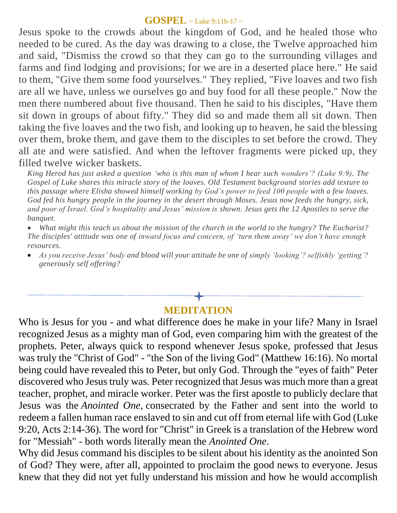#### **GOSPEL** ~ Luke 9:11b-17 <sup>~</sup>

Jesus spoke to the crowds about the kingdom of God, and he healed those who needed to be cured. As the day was drawing to a close, the Twelve approached him and said, "Dismiss the crowd so that they can go to the surrounding villages and farms and find lodging and provisions; for we are in a deserted place here." He said to them, "Give them some food yourselves." They replied, "Five loaves and two fish are all we have, unless we ourselves go and buy food for all these people." Now the men there numbered about five thousand. Then he said to his disciples, "Have them sit down in groups of about fifty." They did so and made them all sit down. Then taking the five loaves and the two fish, and looking up to heaven, he said the blessing over them, broke them, and gave them to the disciples to set before the crowd. They all ate and were satisfied. And when the leftover fragments were picked up, they filled twelve wicker baskets.

*King Herod has just asked a question ʻwho is this man of whom I hear such wonders'? (Luke 9:9). The Gospel of Luke shares this miracle story of the loaves. Old Testament background stories add texture to this passage where Elisha showed himself working by God's power to feed 100 people with a few loaves. God fed his hungry people in the journey in the desert through Moses. Jesus now feeds the hungry, sick, and poor of Israel. God's hospitality and Jesus' mission is shown. Jesus gets the 12 Apostles to serve the banquet.* 

 *What might this teach us about the mission of the church in the world to the hungry? The Eucharist? The disciples' attitude was one of inward focus and concern, of ʻturn them away' we don't have enough resources.* 

 *As you receive Jesus' body and blood will your attitude be one of simply ʻlooking'? selfishly ʻgetting'? generously self offering?*

## **MEDITATION**

Who is Jesus for you - and what difference does he make in your life? Many in Israel recognized Jesus as a mighty man of God, even comparing him with the greatest of the prophets. Peter, always quick to respond whenever Jesus spoke, professed that Jesus was truly the "Christ of God" - "the Son of the living God" (Matthew 16:16). No mortal being could have revealed this to Peter, but only God. Through the "eyes of faith" Peter discovered who Jesus truly was. Peter recognized that Jesus was much more than a great teacher, prophet, and miracle worker. Peter was the first apostle to publicly declare that Jesus was the *Anointed One,* consecrated by the Father and sent into the world to redeem a fallen human race enslaved to sin and cut off from eternal life with God (Luke 9:20, Acts 2:14-36). The word for "Christ" in Greek is a translation of the Hebrew word for "Messiah" *-* both words literally mean the *Anointed One*.

Why did Jesus command his disciples to be silent about his identity as the anointed Son of God? They were, after all, appointed to proclaim the good news to everyone. Jesus knew that they did not yet fully understand his mission and how he would accomplish